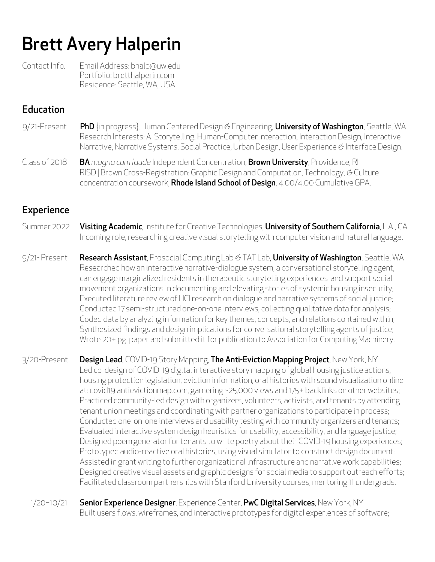# Brett Avery Halperin

Contact Info. Email Address: bhalp@uw.edu Portfolio: bretthalperin.com Residence: Seattle, WA, USA

## **Education**

- 9/21-Present PhD {in progress}, Human Centered Design *&* Engineering, University of Washington, Seattle, WA Research Interests: AI Storytelling, Human-Computer Interaction, Interaction Design, Interactive Narrative, Narrative Systems, Social Practice, Urban Design, User Experience *&* Interface Design.
- Class of 2018 BA *magna cum laude* Independent Concentration, Brown University, Providence, RI RISD | Brown Cross-Registration: Graphic Design and Computation, Technology, *&* Culture concentration coursework, Rhode Island School of Design, 4.00/4.00 Cumulative GPA.

# **Experience**

- Summer 2022 Visiting Academic, Institute for Creative Technologies, University of Southern California, L.A., CA Incoming role, researching creative visual storytelling with computer vision and natural language.
- 9/21- Present **Research Assistant**, Prosocial Computing Lab & TAT Lab, **University of Washington**, Seattle, WA Researched how an interactive narrative-dialogue system, a conversational storytelling agent, can engage marginalized residents in therapeutic storytelling experiences and support social movement organizations in documenting and elevating stories of systemic housing insecurity; Executed literature review of HCI research on dialogue and narrative systems of social justice; Conducted 17 semi-structured one-on-one interviews, collecting qualitative data for analysis; Coded data by analyzing information for key themes, concepts, and relations contained within; Synthesized findings and design implications for conversational storytelling agents of justice; Wrote 20+ pg. paper and submitted it for publication to Association for Computing Machinery.

3/20-Present Design Lead, COVID-19 Story Mapping, The Anti-Eviction Mapping Project, New York, NY Led co-design of COVID-19 digital interactive story mapping of global housing justice actions, housing protection legislation, eviction information, oral histories with sound visualization online at: covid19.antievictionmap.com, garnering ~25,000 views and 175+ backlinks on other websites; Practiced community-led design with organizers, volunteers, activists, and tenants by attending tenant union meetings and coordinating with partner organizations to participate in process; Conducted one-on-one interviews and usability testing with community organizers and tenants; Evaluated interactive system design heuristics for usability, accessibility, and language justice; Designed poem generator for tenants to write poetry about their COVID-19 housing experiences; Prototyped audio-reactive oral histories, using visual simulator to construct design document; Assisted in grant writing to further organizational infrastructure and narrative work capabilities; Designed creative visual assets and graphic designs for social media to support outreach efforts; Facilitated classroom partnerships with Stanford University courses, mentoring 11 undergrads.

1/20-10/21 Senior Experience Designer, Experience Center, PwC Digital Services, New York, NY Built users flows, wireframes, and interactive prototypes for digital experiences of software;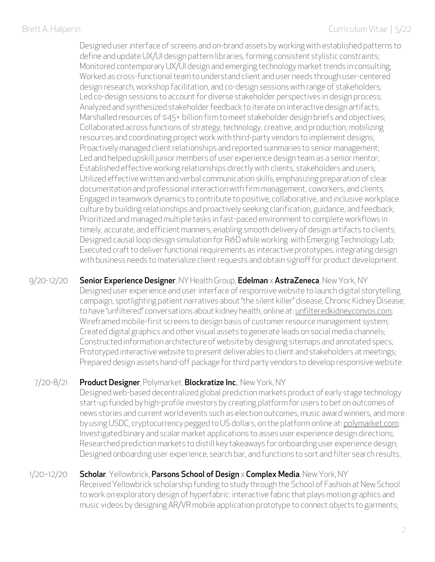Designed user interface of screens and on-brand assets by working with established patterns to define and update UX/UI design pattern libraries, forming consistent stylistic constraints; Monitored contemporary UX/UI design and emerging technology market trends in consulting; Worked as cross-functional team to understand client and user needs through user-centered design research, workshop facilitation, and co-design sessions with range of stakeholders; Led co-design sessions to account for diverse stakeholder perspectives in design process; Analyzed and synthesized stakeholder feedback to iterate on interactive design artifacts; Marshalled resources of \$45+ billion firm to meet stakeholder design briefs and objectives; Collaborated across functions of strategy, technology, creative, and production, mobilizing resources and coordinating project work with third-party vendors to implement designs; Proactively managed client relationships and reported summaries to senior management; Led and helped upskill junior members of user experience design team as a senior mentor; Established effective working relationships directly with clients, stakeholders and users; Utilized effective written and verbal communication skills, emphasizing preparation of clear documentation and professional interaction with firm management, coworkers, and clients. Engaged in teamwork dynamics to contribute to positive, collaborative, and inclusive workplace culture by building relationships and proactively seeking clarification, guidance, and feedback; Prioritized and managed multiple tasks in fast-paced environment to complete workflows in timely, accurate, and efficient manners, enabling smooth delivery of design artifacts to clients; Designed causal loop design simulation for R*&*D while working with Emerging Technology Lab; Executed craft to deliver functional requirements as interactive prototypes, integrating design with business needs to materialize client requests and obtain signoff for product development.

9/20-12/20 Senior Experience Designer, NY Health Group, Edelman x AstraZeneca, New York, NY Designed user experience and user interface of responsive website to launch digital storytelling campaign, spotlighting patient narratives about"the silent killer" disease, Chronic Kidney Disease, to have "unfiltered" conversations about kidney health, online at: unfilteredkidneyconvos.com; Wireframed mobile-first screens to design basis of customer resource management system; Created digital graphics and other visual assets to generate leads on social media channels; Constructed information architecture of website by designing sitemaps and annotated specs; Prototyped interactive website to present deliverables to client and stakeholders at meetings; Prepared design assets hand-off package for third party vendors to develop responsive website.

#### 7/20-8/21 Product Designer, Polymarket, Blockratize Inc., New York, NY

Designed web-based decentralized global prediction markets product of early stage technology start-up funded by high-profile investors by creating platform for users to bet on outcomes of news stories and current world events such as election outcomes, music award winners, and more by using USDC, cryptocurrency pegged to US dollars, on the platform online at: polymarket.com; Investigated binary and scalar market applications to asses user experience design directions; Researched prediction markets to distill key takeaways for onboarding user experience design; Designed onboarding user experience, search bar, and functions to sort and filter search results.

#### 1/20–12/20 **Scholar**, Yellowbrick, **Parsons School of Design x Complex Media**, New York, NY Received Yellowbrick scholarship funding to study through the School of Fashion at New School to work on exploratory design of hyperfabric: interactive fabric that plays motion graphics and music videos by designing AR/VR mobile application prototype to connect objects to garments;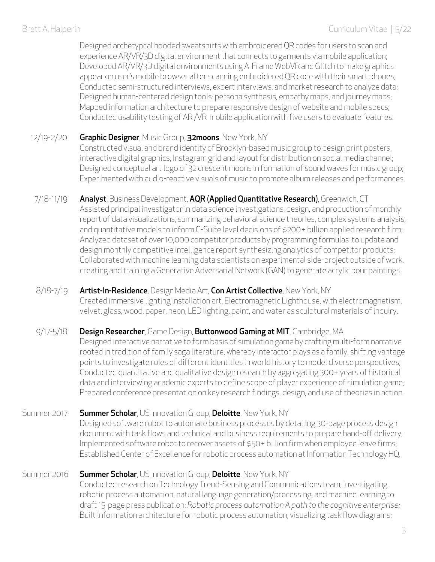Designed archetypcal hooded sweatshirts with embroidered QR codes for users to scan and experience AR/VR/3D digital environment that connects to garments via mobile application; Developed AR/VR/3D digital environments using A-Frame WebVR and Glitch to make graphics appear on user's mobile browser after scanning embroidered QR code with their smart phones; Conducted semi-structured interviews, expert interviews, and market research to analyze data; Designed human-centered design tools: persona synthesis, empathy maps, and journey maps; Mapped information architecture to prepare responsive design of website and mobile specs; Conducted usability testing of AR /VR mobile application with five users to evaluate features.

#### 12/19-2/20 Graphic Designer, Music Group, 32moons, New York, NY

Constructed visual and brand identity of Brooklyn-based music group to design print posters, interactive digital graphics, Instagram grid and layout for distribution on social media channel; Designed conceptual art logo of 32 crescent moons in formation of sound waves for music group; Experimented with audio-reactive visuals of music to promote album releases and performances.

# 7/18-11/19 Analyst, Business Development, AQR (Applied Quantitative Research), Greenwich, CT

Assisted principal investigator in data science investigations, design, and production of monthly report of data visualizations, summarizing behavioral science theories, complex systems analysis, and quantitative models to inform C-Suite level decisions of \$200+ billion applied research firm; Analyzed dataset of over 10,000 competitor products by programming formulas to update and design monthly competitive intelligence report synthesizing analytics of competitor products; Collaborated with machine learning data scientists on experimental side-project outside of work, creating and training a Generative Adversarial Network (GAN) to generate acrylic pour paintings.

#### 8/18-7/19 Artist-In-Residence, Design Media Art, Con Artist Collective, New York, NY

Created immersive lighting installation art, Electromagnetic Lighthouse, with electromagnetism, velvet, glass, wood, paper, neon, LED lighting, paint, and water as sculptural materials of inquiry.

### 9/17-5/18 Design Researcher, Game Design, Buttonwood Gaming at MIT, Cambridge, MA

Designed interactive narrative to form basis of simulation game by crafting multi-form narrative rooted in tradition of family saga literature, whereby interactor plays as a family, shifting vantage points to investigate roles of different identities in world history to model diverse perspectives; Conducted quantitative and qualitative design research by aggregating 300+ years of historical data and interviewing academic experts to define scope of player experience of simulation game; Prepared conference presentation on key research findings, design, and use of theories in action.

### Summer 2017 Summer Scholar, US Innovation Group, Deloitte, New York, NY

Designed software robot to automate business processes by detailing 30-page process design document with task flows and technical and business requirements to prepare hand-off delivery; Implemented software robot to recover assets of \$50+ billion firm when employee leave firms; Established Center of Excellence for robotic process automation at Information Technology HQ.

### Summer 2016 Summer Scholar, US Innovation Group, Deloitte, New York, NY

Conducted research on Technology Trend-Sensing and Communications team, investigating robotic process automation, natural language generation/processing, and machine learning to draft 15-page press publication: *Robotic process automation A path to the cognitive enterprise;* Built information architecture for robotic process automation, visualizing task flow diagrams;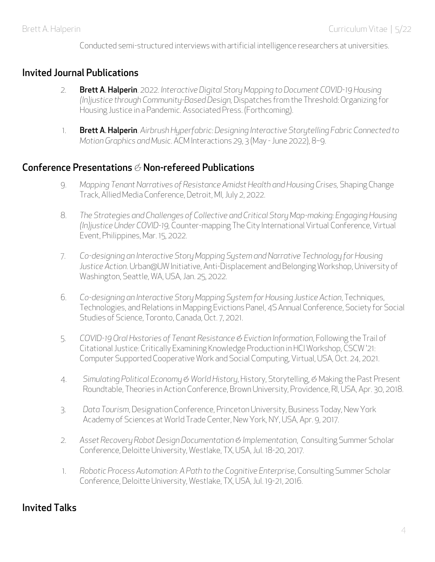Conducted semi-structured interviews with artificial intelligence researchers at universities.

#### Invited Journal Publications

- 2. Brett A. Halperin. 2022. *Interactive Digital Story Mapping to Document COVID-19 Housing (In)justice through Community-Based Design,* Dispatches from the Threshold: Organizing for Housing Justice in a Pandemic. Associated Press. (Forthcoming).
- 1. Brett A. Halperin. *Airbrush Hyperfabric: Designing Interactive Storytelling Fabric Connected to Motion Graphics and Music*. ACM Interactions 29, 3 (May -June 2022), 8–9.

#### Conference Presentations *&* Non-refereed Publications

- 9. *Mapping Tenant Narratives of Resistance Amidst Health and Housing Crises,* Shaping Change Track, Allied Media Conference, Detroit, MI, July 2, 2022.
- 8. *The Strategies and Challenges of Collective and Critical Story Map-making: Engaging Housing (In)justice Under COVID-19,* Counter-mapping The City International Virtual Conference, Virtual Event, Philippines, Mar. 15, 2022.
- 7. *Co-designing an Interactive Story Mapping System and Narrative Technology for Housing Justice Action.* Urban@UW Initiative, Anti-Displacement and Belonging Workshop, University of Washington, Seattle, WA, USA, Jan. 25, 2022.
- 6. *Co-designing an Interactive Story Mapping System for Housing Justice Action*, Techniques, Technologies, and Relations in Mapping Evictions Panel, 4S Annual Conference, Society for Social Studies of Science, Toronto, Canada, Oct. 7, 2021.
- 5. *COVID-19 Oral Hxstories of Tenant Resistance & Eviction Information*, Following the Trail of Citational Justice: Critically Examining Knowledge Production in HCI Workshop, CSCW '21: Computer Supported Cooperative Work and Social Computing, Virtual, USA, Oct. 24, 2021.
- 4. *Simulating Political Economy & World History*, History, Storytelling, *&* Making the Past Present Roundtable, Theories in Action Conference, Brown University, Providence, RI, USA, Apr. 30, 2018.
- 3. *Data Tourism*, Designation Conference, Princeton University, Business Today, New York Academy of Sciences at World Trade Center, New York, NY, USA, Apr. 9, 2017.
- 2. *Asset Recovery Robot Design Documentation & Implementation*, Consulting Summer Scholar Conference, Deloitte University, Westlake, TX, USA, Jul. 18-20, 2017.
- 1. *Robotic Process Automation: A Path to the Cognitive Enterprise*, Consulting Summer Scholar Conference, Deloitte University, Westlake, TX, USA, Jul. 19-21, 2016.

## Invited Talks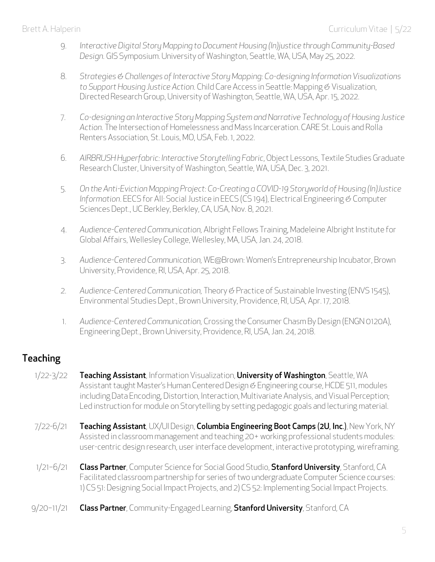- 9. *Interactive Digital Story Mapping to Document Housing (In)justice through Community-Based Design.* GIS Symposium. University of Washington, Seattle, WA, USA, May 25, 2022.
- 8. *Strategies & Challenges of Interactive Story Mapping: Co-designing Information Visualizations to Support Housing Justice Action.* Child Care Access in Seattle: Mapping *&* Visualization, Directed Research Group, University of Washington, Seattle, WA, USA, Apr. 15, 2022.
- 7. *Co-designing an Interactive Story Mapping System and Narrative Technology of Housing Justice Action.* The Intersection of Homelessness and Mass Incarceration. CARE St. Louis and Rolla Renters Association, St. Louis, MO, USA, Feb. 1, 2022.
- 6. *AIRBRUSH Hyperfabric: Interactive Storytelling Fabric*, Object Lessons, Textile Studies Graduate Research Cluster, University of Washington, Seattle, WA, USA, Dec. 3, 2021.
- 5. *On the Anti-Eviction Mapping Project: Co-Creating a COVID-19 Storyworld of Housing (In)Justice Information*. EECS for All: Social Justice in EECS (CS 194), Electrical Engineering *&* Computer Sciences Dept., UC Berkley, Berkley, CA, USA, Nov. 8, 2021.
- 4. *Audience-Centered Communication,* Albright Fellows Training, Madeleine Albright Institute for Global Affairs, Wellesley College, Wellesley, MA, USA, Jan. 24, 2018.
- 3. *Audience-Centered Communication,* WE@Brown: Women's Entrepreneurship Incubator, Brown University, Providence, RI, USA, Apr. 25, 2018.
- 2. *Audience-Centered Communication,* Theory *&* Practice of Sustainable Investing (ENVS 1545), Environmental Studies Dept., Brown University, Providence, RI, USA, Apr. 17, 2018.
- 1. *Audience-Centered Communication,* Crossing the Consumer Chasm By Design (ENGN 0120A), Engineering Dept., Brown University, Providence, RI, USA, Jan. 24, 2018.

# Teaching

- 1/22-3/22 Teaching Assistant, Information Visualization, University of Washington, Seattle, WA Assistant taught Master's Human Centered Design *&* Engineering course, HCDE 511, modules including Data Encoding, Distortion, Interaction, Multivariate Analysis, and Visual Perception; Led instruction for module on Storytelling by setting pedagogic goals and lecturing material.
- 7/22-6/21 Teaching Assistant, UX/UI Design, Columbia Engineering Boot Camps (2U, Inc.), New York, NY Assisted in classroom management and teaching 20+ working professional students modules: user-centric design research, user interface development, interactive prototyping, wireframing.
- 1/21-6/21 Class Partner, Computer Science for Social Good Studio, Stanford University, Stanford, CA Facilitated classroom partnership for series of two undergraduate Computer Science courses: 1) CS 51: Designing Social Impact Projects, and 2) CS 52: Implementing Social Impact Projects.
- 9/20-11/21 Class Partner, Community-Engaged Learning, Stanford University, Stanford, CA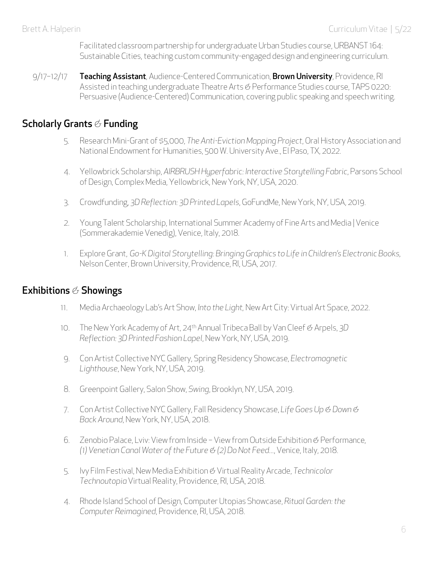Facilitated classroom partnership for undergraduate Urban Studies course, URBANST 164: Sustainable Cities, teaching custom community-engaged design and engineering curriculum.

9/17-12/17 Teaching Assistant, Audience-Centered Communication, Brown University, Providence, RI Assisted in teaching undergraduate Theatre Arts *&* Performance Studies course, TAPS 0220: Persuasive (Audience-Centered) Communication, covering public speaking and speech writing.

## Scholarly Grants *&* Funding

- 5. Research Mini-Grant of \$5,000, *The Anti-Eviction Mapping Project*, Oral History Association and National Endowment for Humanities, 500 W. University Ave., El Paso, TX, 2022.
- 4. Yellowbrick Scholarship, *AIRBRUSH Hyperfabric: Interactive Storytelling Fabric*, Parsons School of Design, Complex Media, Yellowbrick, New York, NY, USA, 2020.
- 3. Crowdfunding, *3D Reflection: 3D Printed Lapels*, GoFundMe, New York, NY, USA, 2019.
- 2. Young Talent Scholarship, International Summer Academy of Fine Arts and Media | Venice (Sommerakademie Venedig), Venice, Italy, 2018.
- 1. Explore Grant, *Go-K Digital Storytelling: Bringing Graphics to Life in Children's Electronic Books,* Nelson Center, Brown University, Providence, RI, USA, 2017.

## Exhibitions *&* Showings

- 11. Media Archaeology Lab's Art Show, *Into the Light,* New Art City: Virtual Art Space, 2022.
- 10. The New York Academy of Art, 24th Annual Tribeca Ball by Van Cleef *&* Arpels, *3D Reflection: 3D Printed Fashion Lapel*, New York, NY, USA, 2019.
- 9. Con Artist Collective NYC Gallery, Spring Residency Showcase, *Electromagnetic Lighthouse*, New York, NY, USA, 2019.
- 8. Greenpoint Gallery, Salon Show, *Swing*, Brooklyn, NY, USA, 2019.
- 7. Con Artist Collective NYC Gallery, Fall Residency Showcase, *Life Goes Up & Down & Back Around*, New York, NY, USA, 2018.
- 6. Zenobio Palace, Lviv: View from Inside View from Outside Exhibition *&* Performance*, (1) Venetian Canal Water of the Future & (2) Do Not Feed...*, Venice, Italy, 2018.
- 5. Ivy Film Festival, New Media Exhibition *&* Virtual Reality Arcade, *Technicolor Technoutopia* Virtual Reality, Providence, RI, USA, 2018.
- 4. Rhode Island School of Design, Computer Utopias Showcase, *Ritual Garden: the Computer Reimagined*, Providence, RI, USA, 2018.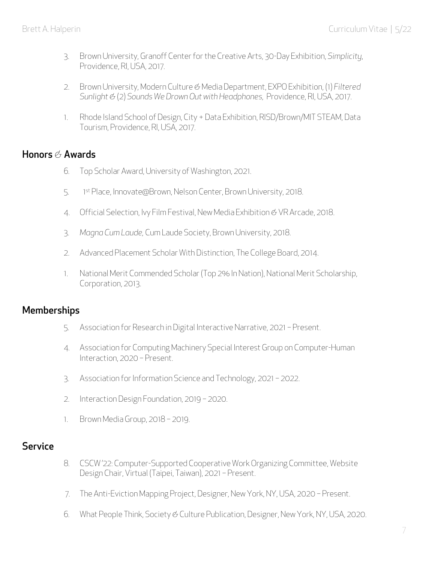- 3. Brown University, Granoff Center for the Creative Arts, 30-Day Exhibition, *Simplicity*, Providence, RI, USA, 2017.
- 2. Brown University, Modern Culture *&* Media Department, EXPO Exhibition, (1) *Filtered Sunlight &* (2) *Sounds We Drown Out with Headphones,* Providence, RI, USA, 2017.
- 1. Rhode Island School of Design, City + Data Exhibition, RISD/Brown/MIT STEAM, Data Tourism, Providence, RI, USA, 2017.

## Honors *&* Awards

- 6*.* Top Scholar Award, University of Washington, 2021.
- 5. 1st Place, Innovate@Brown, Nelson Center, Brown University, 2018.
- 4. Official Selection, Ivy Film Festival, New Media Exhibition *&* VR Arcade, 2018.
- 3. *Magna Cum Laude,* Cum Laude Society, Brown University, 2018.
- 2. Advanced Placement Scholar With Distinction, The College Board, 2014.
- 1. National Merit Commended Scholar (Top 2% In Nation), National Merit Scholarship, Corporation, 2013.

### **Memberships**

- 5. Association for Research in Digital Interactive Narrative, 2021 Present.
- 4*.* Association for Computing Machinery Special Interest Group on Computer-Human Interaction, 2020 – Present.
- 3. Association for Information Science and Technology, 2021 2022.
- 2. Interaction Design Foundation, 2019 2020.
- 1. Brown Media Group, 2018 2019.

### **Service**

- 8*.* CSCW '22: Computer-Supported Cooperative Work Organizing Committee, Website Design Chair, Virtual (Taipei, Taiwan), 2021 – Present.
- 7*.* The Anti-Eviction Mapping Project, Designer, New York, NY, USA, 2020 Present.
- 6*.* What People Think, Society *&* Culture Publication, Designer, New York, NY, USA, 2020.